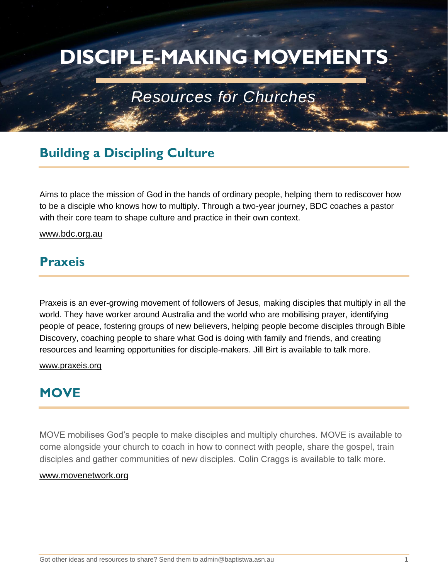# **DISCIPLE-MAKING MOVEMENTS**

## *Resources for Churches*

## **Building a Discipling Culture**

Aims to place the mission of God in the hands of ordinary people, helping them to rediscover how to be a disciple who knows how to multiply. Through a two-year journey, BDC coaches a pastor with their core team to shape culture and practice in their own context.

#### [www.bdc.org.au](https://www.bdc.org.au/)

## **Praxeis**

Praxeis is an ever-growing movement of followers of Jesus, making disciples that multiply in all the world. They have worker around Australia and the world who are mobilising prayer, identifying people of peace, fostering groups of new believers, helping people become disciples through Bible Discovery, coaching people to share what God is doing with family and friends, and creating resources and learning opportunities for disciple-makers. Jill Birt is available to talk more.

#### [www.praxeis.org](https://praxeis.org/)

#### **MOVE**

MOVE mobilises God's people to make disciples and multiply churches. MOVE is available to come alongside your church to coach in how to connect with people, share the gospel, train disciples and gather communities of new disciples. Colin Craggs is available to talk more.

#### [www.movenetwork.org](https://www.movenetwork.org/)